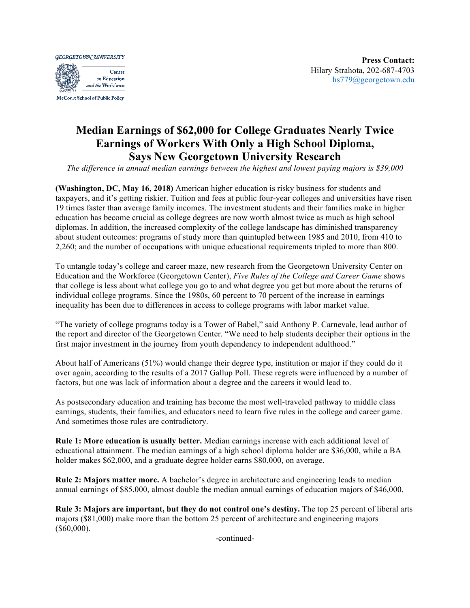**GEORGETOWN UNIVERSITY** 



## **Median Earnings of \$62,000 for College Graduates Nearly Twice Earnings of Workers With Only a High School Diploma, Says New Georgetown University Research**

*The difference in annual median earnings between the highest and lowest paying majors is \$39,000*

**(Washington, DC, May 16, 2018)** American higher education is risky business for students and taxpayers, and it's getting riskier. Tuition and fees at public four-year colleges and universities have risen 19 times faster than average family incomes. The investment students and their families make in higher education has become crucial as college degrees are now worth almost twice as much as high school diplomas. In addition, the increased complexity of the college landscape has diminished transparency about student outcomes: programs of study more than quintupled between 1985 and 2010, from 410 to 2,260; and the number of occupations with unique educational requirements tripled to more than 800.

To untangle today's college and career maze, new research from the Georgetown University Center on Education and the Workforce (Georgetown Center), *Five Rules of the College and Career Game* shows that college is less about what college you go to and what degree you get but more about the returns of individual college programs. Since the 1980s, 60 percent to 70 percent of the increase in earnings inequality has been due to differences in access to college programs with labor market value.

"The variety of college programs today is a Tower of Babel," said Anthony P. Carnevale, lead author of the report and director of the Georgetown Center. "We need to help students decipher their options in the first major investment in the journey from youth dependency to independent adulthood."

About half of Americans (51%) would change their degree type, institution or major if they could do it over again, according to the results of a 2017 Gallup Poll. These regrets were influenced by a number of factors, but one was lack of information about a degree and the careers it would lead to.

As postsecondary education and training has become the most well-traveled pathway to middle class earnings, students, their families, and educators need to learn five rules in the college and career game. And sometimes those rules are contradictory.

**Rule 1: More education is usually better.** Median earnings increase with each additional level of educational attainment. The median earnings of a high school diploma holder are \$36,000, while a BA holder makes \$62,000, and a graduate degree holder earns \$80,000, on average.

**Rule 2: Majors matter more.** A bachelor's degree in architecture and engineering leads to median annual earnings of \$85,000, almost double the median annual earnings of education majors of \$46,000.

**Rule 3: Majors are important, but they do not control one's destiny.** The top 25 percent of liberal arts majors (\$81,000) make more than the bottom 25 percent of architecture and engineering majors  $($60,000)$ .

-continued-